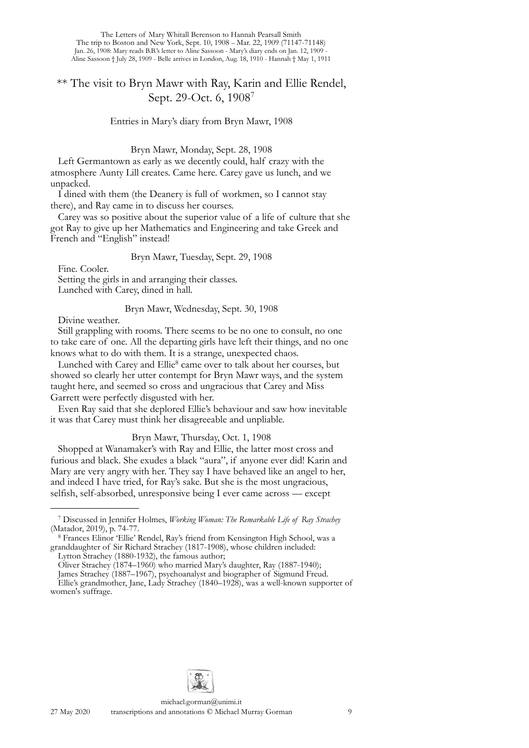# \*\* The visit to Bryn Mawr with Ray, Karin and Ellie Rendel, Sept. 29-Oct. 6, 1908[7](#page-0-0)

Entries in Mary's diary from Bryn Mawr, 1908

Bryn Mawr, Monday, Sept. 28, 1908

Left Germantown as early as we decently could, half crazy with the atmosphere Aunty Lill creates. Came here. Carey gave us lunch, and we unpacked.

I dined with them (the Deanery is full of workmen, so I cannot stay there), and Ray came in to discuss her courses.

Carey was so positive about the superior value of a life of culture that she got Ray to give up her Mathematics and Engineering and take Greek and French and "English" instead!

## Bryn Mawr, Tuesday, Sept. 29, 1908

Fine. Cooler.

Setting the girls in and arranging their classes. Lunched with Carey, dined in hall.

## Bryn Mawr, Wednesday, Sept. 30, 1908

Divine weather.

Still grappling with rooms. There seems to be no one to consult, no one to take care of one. All the departing girls have left their things, and no one knows what to do with them. It is a strange, unexpected chaos.

Lunched with Carey and Ellie<sup>8</sup> came over to talk about her courses, but showed so clearly her utter contempt for Bryn Mawr ways, and the system taught here, and seemed so cross and ungracious that Carey and Miss Garrett were perfectly disgusted with her.

Even Ray said that she deplored Ellie's behaviour and saw how inevitable it was that Carey must think her disagreeable and unpliable.

Bryn Mawr, Thursday, Oct. 1, 1908

Shopped at Wanamaker's with Ray and Ellie, the latter most cross and furious and black. She exudes a black "aura", if anyone ever did! Karin and Mary are very angry with her. They say I have behaved like an angel to her, and indeed I have tried, for Ray's sake. But she is the most ungracious, selfish, self-absorbed, unresponsive being I ever came across — except



<span id="page-0-0"></span><sup>7</sup> Discussed in Jennifer Holmes, *Working Woman: The Remarkable Life of Ray Strachey*

<span id="page-0-1"></span><sup>&</sup>lt;sup>8</sup> Frances Elinor 'Ellie' Rendel, Ray's friend from Kensington High School, was a granddaughter of Sir Richard Strachey (1817-1908), whose children included:

Lytton Strachey (1880-1932), the famous author;

Oliver Strachey (1874–1960) who married Mary's daughter, Ray (1887-1940);

James Strachey (1887–1967), psychoanalyst and biographer of Sigmund Freud.

Ellie's grandmother, Jane, Lady Strachey (1840–1928), was a well-known supporter of [women's suffrage](https://en.wikipedia.org/wiki/Women%27s_suffrage).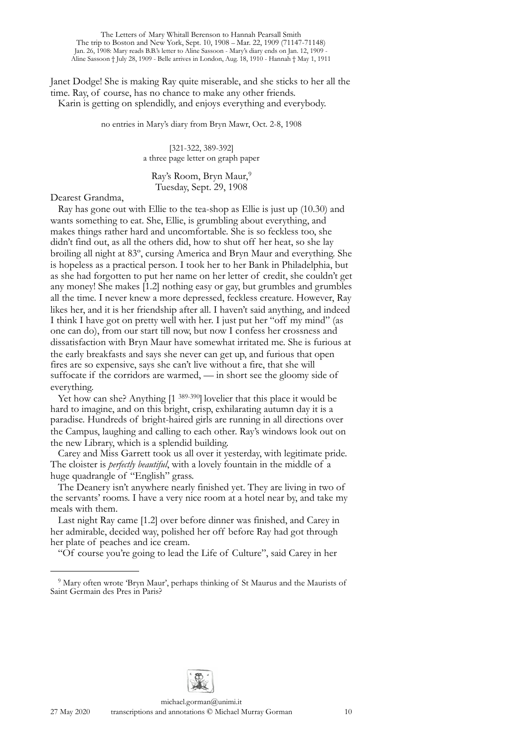Janet Dodge! She is making Ray quite miserable, and she sticks to her all the time. Ray, of course, has no chance to make any other friends. Karin is getting on splendidly, and enjoys everything and everybody.

no entries in Mary's diary from Bryn Mawr, Oct. 2-8, 1908

[321-322, 389-392] a three page letter on graph paper

Ray's Room, Bryn Maur,[9](#page-1-0) Tuesday, Sept. 29, 1908

Dearest Grandma,

Ray has gone out with Ellie to the tea-shop as Ellie is just up (10.30) and wants something to eat. She, Ellie, is grumbling about everything, and makes things rather hard and uncomfortable. She is so feckless too, she didn't find out, as all the others did, how to shut off her heat, so she lay broiling all night at 83º, cursing America and Bryn Maur and everything. She is hopeless as a practical person. I took her to her Bank in Philadelphia, but as she had forgotten to put her name on her letter of credit, she couldn't get any money! She makes [1.2] nothing easy or gay, but grumbles and grumbles all the time. I never knew a more depressed, feckless creature. However, Ray likes her, and it is her friendship after all. I haven't said anything, and indeed I think I have got on pretty well with her. I just put her "off my mind" (as one can do), from our start till now, but now I confess her crossness and dissatisfaction with Bryn Maur have somewhat irritated me. She is furious at the early breakfasts and says she never can get up, and furious that open fires are so expensive, says she can't live without a fire, that she will suffocate if the corridors are warmed, — in short see the gloomy side of everything.

Yet how can she? Anything [1<sup>389-390</sup>] lovelier that this place it would be hard to imagine, and on this bright, crisp, exhilarating autumn day it is a paradise. Hundreds of bright-haired girls are running in all directions over the Campus, laughing and calling to each other. Ray's windows look out on the new Library, which is a splendid building.

Carey and Miss Garrett took us all over it yesterday, with legitimate pride. The cloister is *perfectly beautiful*, with a lovely fountain in the middle of a huge quadrangle of "English" grass.

The Deanery isn't anywhere nearly finished yet. They are living in two of the servants' rooms. I have a very nice room at a hotel near by, and take my meals with them.

Last night Ray came [1.2] over before dinner was finished, and Carey in her admirable, decided way, polished her off before Ray had got through her plate of peaches and ice cream.

"Of course you're going to lead the Life of Culture", said Carey in her



<span id="page-1-0"></span><sup>&</sup>lt;sup>9</sup> Mary often wrote 'Bryn Maur', perhaps thinking of St Maurus and the Maurists of Saint Germain des Pres in Paris?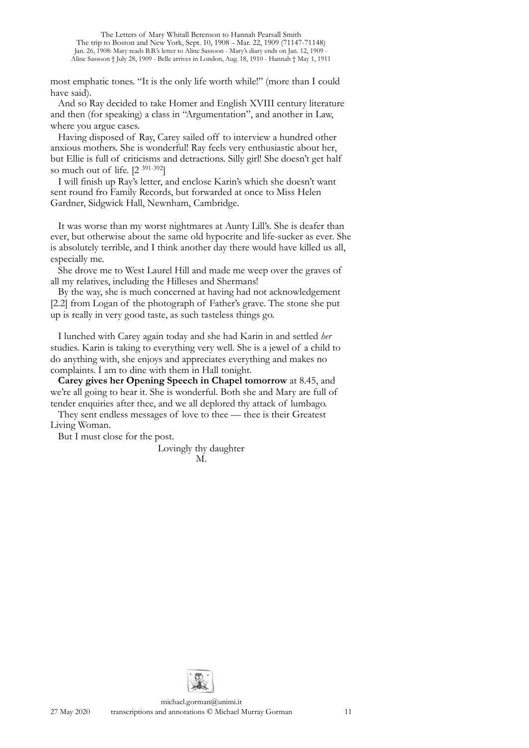most emphatic tones. "It is the only life worth while!" (more than I could have said).

And so Ray decided to take Homer and English XVIII century literature and then (for speaking) a class in "Argumentation", and another in Law, where you argue cases.

Having disposed of Ray, Carey sailed off to interview a hundred other anxious mothers. She is wonderful! Ray feels very enthusiastic about her, but Ellie is full of criticisms and detractions. Silly girl! She doesn't get half so much out of life. [2 391-392]

I will finish up Ray's letter, and enclose Karin's which she doesn't want sent round fro Family Records, but forwarded at once to Miss Helen Gardner, Sidgwick Hall, Newnham, Cambridge.

It was worse than my worst nightmares at Aunty Lill's. She is deafer than ever, but otherwise about the same old hypocrite and life-sucker as ever. She is absolutely terrible, and I think another day there would have killed us all, especially me.

She drove me to West Laurel Hill and made me weep over the graves of all my relatives, including the Hilleses and Shermans!

By the way, she is much concerned at having had not acknowledgement [2.2] from Logan of the photograph of Father's grave. The stone she put up is really in very good taste, as such tasteless things go.

I lunched with Carey again today and she had Karin in and settled *her* studies. Karin is taking to everything very well. She is a jewel of a child to do anything with, she enjoys and appreciates everything and makes no complaints. I am to dine with them in Hall tonight.

**Carey gives her Opening Speech in Chapel tomorrow** at 8.45, and we're all going to hear it. She is wonderful. Both she and Mary are full of tender enquiries after thee, and we all deplored thy attack of lumbago.

They sent endless messages of love to thee — thee is their Greatest Living Woman.

But I must close for the post.

Lovingly thy daughter M.

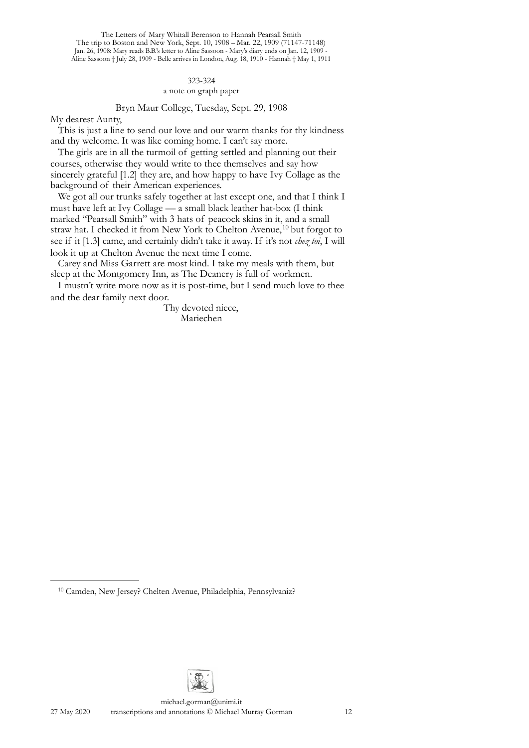## 323-324 a note on graph paper

## Bryn Maur College, Tuesday, Sept. 29, 1908

My dearest Aunty,

This is just a line to send our love and our warm thanks for thy kindness and thy welcome. It was like coming home. I can't say more.

The girls are in all the turmoil of getting settled and planning out their courses, otherwise they would write to thee themselves and say how sincerely grateful [1.2] they are, and how happy to have Ivy Collage as the background of their American experiences.

We got all our trunks safely together at last except one, and that I think I must have left at Ivy Collage — a small black leather hat-box (I think marked "Pearsall Smith" with 3 hats of peacock skins in it, and a small straw hat. I checked it from New York to Chelton Avenue,<sup>[10](#page-3-0)</sup> but forgot to see if it [1.3] came, and certainly didn't take it away. If it's not *chez toi*, I will look it up at Chelton Avenue the next time I come.

Carey and Miss Garrett are most kind. I take my meals with them, but sleep at the Montgomery Inn, as The Deanery is full of workmen.

I mustn't write more now as it is post-time, but I send much love to thee and the dear family next door.

> Thy devoted niece, Mariechen



<span id="page-3-0"></span><sup>10</sup> Camden, New Jersey? Chelten Avenue, Philadelphia, Pennsylvaniz?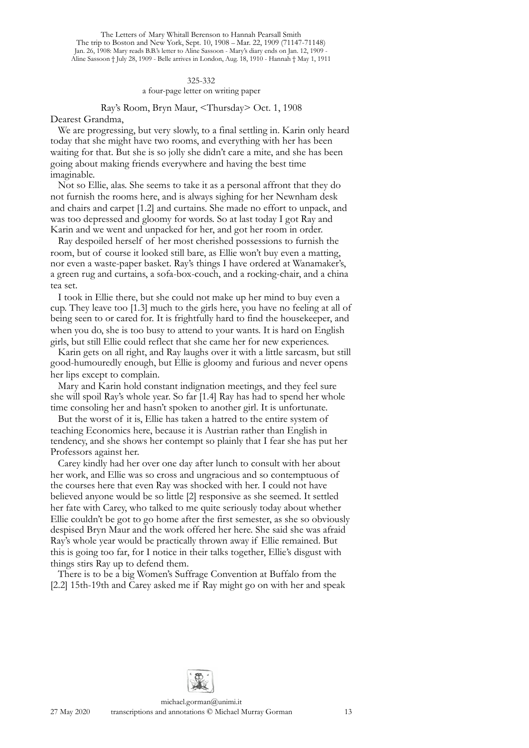## 325-332 a four-page letter on writing paper

## Ray's Room, Bryn Maur, <Thursday> Oct. 1, 1908 Dearest Grandma,

We are progressing, but very slowly, to a final settling in. Karin only heard today that she might have two rooms, and everything with her has been waiting for that. But she is so jolly she didn't care a mite, and she has been going about making friends everywhere and having the best time imaginable.

Not so Ellie, alas. She seems to take it as a personal affront that they do not furnish the rooms here, and is always sighing for her Newnham desk and chairs and carpet [1.2] and curtains. She made no effort to unpack, and was too depressed and gloomy for words. So at last today I got Ray and Karin and we went and unpacked for her, and got her room in order.

Ray despoiled herself of her most cherished possessions to furnish the room, but of course it looked still bare, as Ellie won't buy even a matting, nor even a waste-paper basket. Ray's things I have ordered at Wanamaker's, a green rug and curtains, a sofa-box-couch, and a rocking-chair, and a china tea set.

I took in Ellie there, but she could not make up her mind to buy even a cup. They leave too [1.3] much to the girls here, you have no feeling at all of being seen to or cared for. It is frightfully hard to find the housekeeper, and when you do, she is too busy to attend to your wants. It is hard on English girls, but still Ellie could reflect that she came her for new experiences.

Karin gets on all right, and Ray laughs over it with a little sarcasm, but still good-humouredly enough, but Ellie is gloomy and furious and never opens her lips except to complain.

Mary and Karin hold constant indignation meetings, and they feel sure she will spoil Ray's whole year. So far [1.4] Ray has had to spend her whole time consoling her and hasn't spoken to another girl. It is unfortunate.

But the worst of it is, Ellie has taken a hatred to the entire system of teaching Economics here, because it is Austrian rather than English in tendency, and she shows her contempt so plainly that I fear she has put her Professors against her.

Carey kindly had her over one day after lunch to consult with her about her work, and Ellie was so cross and ungracious and so contemptuous of the courses here that even Ray was shocked with her. I could not have believed anyone would be so little [2] responsive as she seemed. It settled her fate with Carey, who talked to me quite seriously today about whether Ellie couldn't be got to go home after the first semester, as she so obviously despised Bryn Maur and the work offered her here. She said she was afraid Ray's whole year would be practically thrown away if Ellie remained. But this is going too far, for I notice in their talks together, Ellie's disgust with things stirs Ray up to defend them.

There is to be a big Women's Suffrage Convention at Buffalo from the [2.2] 15th-19th and Carey asked me if Ray might go on with her and speak

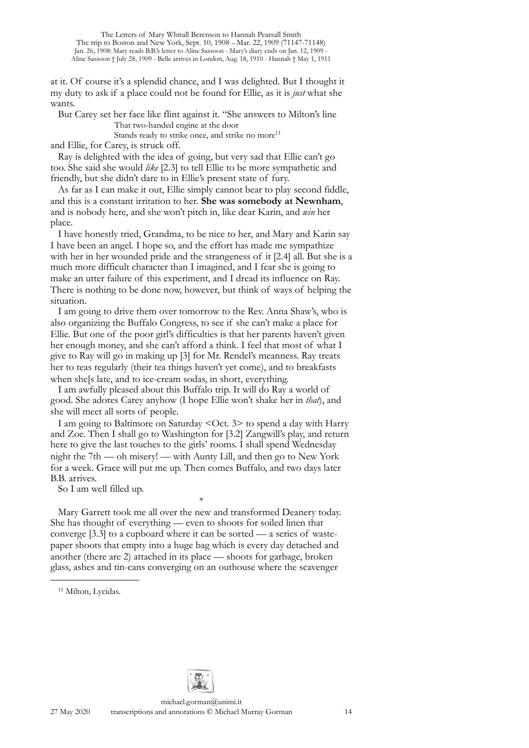at it. Of course it's a splendid chance, and I was delighted. But I thought it my duty to ask if a place could not be found for Ellie, as it is *just* what she wants.

But Carey set her face like flint against it. "She answers to Milton's line That two-handed engine at the door

Stands ready to strike once, and strike no more<sup>11</sup>

and Ellie, for Carey, is struck off.

Ray is delighted with the idea of going, but very sad that Ellie can't go too. She said she would *like* [2.3] to tell Ellie to be more sympathetic and friendly, but she didn't dare to in Ellie's present state of fury.

As far as I can make it out, Ellie simply cannot bear to play second fiddle, and this is a constant irritation to her. **She was somebody at Newnham**, and is nobody here, and she won't pitch in, like dear Karin, and *win* her place.

I have honestly tried, Grandma, to be nice to her, and Mary and Karin say I have been an angel. I hope so, and the effort has made me sympathize with her in her wounded pride and the strangeness of it [2.4] all. But she is a much more difficult character than I imagined, and I fear she is going to make an utter failure of this experiment, and I dread its influence on Ray. There is nothing to be done now, however, but think of ways of helping the situation.

I am going to drive them over tomorrow to the Rev. Anna Shaw's, who is also organizing the Buffalo Congress, to see if she can't make a place for Ellie. But one of the poor girl's difficulties is that her parents haven't given her enough money, and she can't afford a think. I feel that most of what I give to Ray will go in making up [3] for Mr. Rendel's meanness. Ray treats her to teas regularly (their tea things haven't yet come), and to breakfasts when she[s late, and to ice-cream sodas, in short, everything.

I am awfully pleased about this Buffalo trip. It will do Ray a world of good. She adores Carey anyhow (I hope Ellie won't shake her in *that*), and she will meet all sorts of people.

I am going to Baltimore on Saturday < Oct. 3> to spend a day with Harry and Zoe. Then I shall go to Washington for [3.2] Zangwill's play, and return here to give the last touches to the girls' rooms. I shall spend Wednesday night the 7th — oh misery! — with Aunty Lill, and then go to New York for a week. Grace will put me up. Then comes Buffalo, and two days later B.B. arrives.

\*

So I am well filled up.

Mary Garrett took me all over the new and transformed Deanery today. She has thought of everything — even to shoots for soiled linen that converge [3.3] to a cupboard where it can be sorted — a series of wastepaper shoots that empty into a huge bag which is every day detached and another (there are 2) attached in its place — shoots for garbage, broken glass, ashes and tin-cans converging on an outhouse where the scavenger



<span id="page-5-0"></span><sup>&</sup>lt;sup>11</sup> Milton, Lycidas.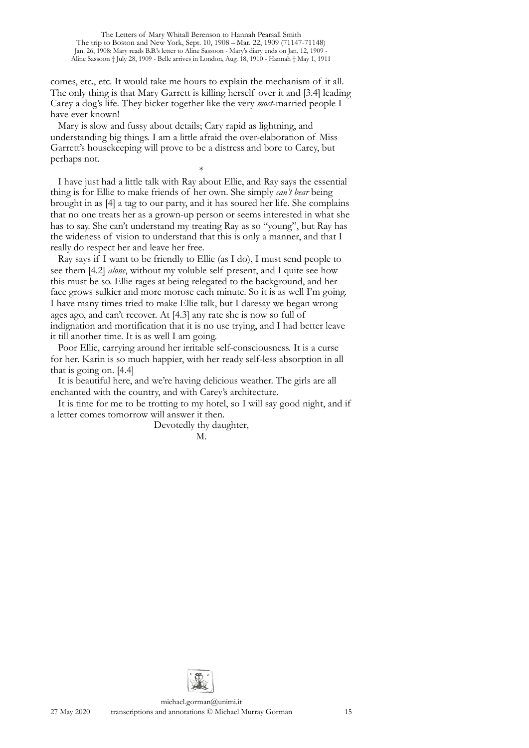comes, etc., etc. It would take me hours to explain the mechanism of it all. The only thing is that Mary Garrett is killing herself over it and [3.4] leading Carey a dog's life. They bicker together like the very *most*-married people I have ever known!

Mary is slow and fussy about details; Cary rapid as lightning, and understanding big things. I am a little afraid the over-elaboration of Miss Garrett's housekeeping will prove to be a distress and bore to Carey, but perhaps not.

\* I have just had a little talk with Ray about Ellie, and Ray says the essential thing is for Ellie to make friends of her own. She simply *can't bear* being brought in as [4] a tag to our party, and it has soured her life. She complains that no one treats her as a grown-up person or seems interested in what she has to say. She can't understand my treating Ray as so "young", but Ray has the wideness of vision to understand that this is only a manner, and that I really do respect her and leave her free.

Ray says if I want to be friendly to Ellie (as I do), I must send people to see them [4.2] *alone*, without my voluble self present, and I quite see how this must be so. Ellie rages at being relegated to the background, and her face grows sulkier and more morose each minute. So it is as well I'm going. I have many times tried to make Ellie talk, but I daresay we began wrong ages ago, and can't recover. At [4.3] any rate she is now so full of indignation and mortification that it is no use trying, and I had better leave it till another time. It is as well I am going.

Poor Ellie, carrying around her irritable self-consciousness. It is a curse for her. Karin is so much happier, with her ready self-less absorption in all that is going on. [4.4]

It is beautiful here, and we're having delicious weather. The girls are all enchanted with the country, and with Carey's architecture.

It is time for me to be trotting to my hotel, so I will say good night, and if a letter comes tomorrow will answer it then.

Devotedly thy daughter,

M.

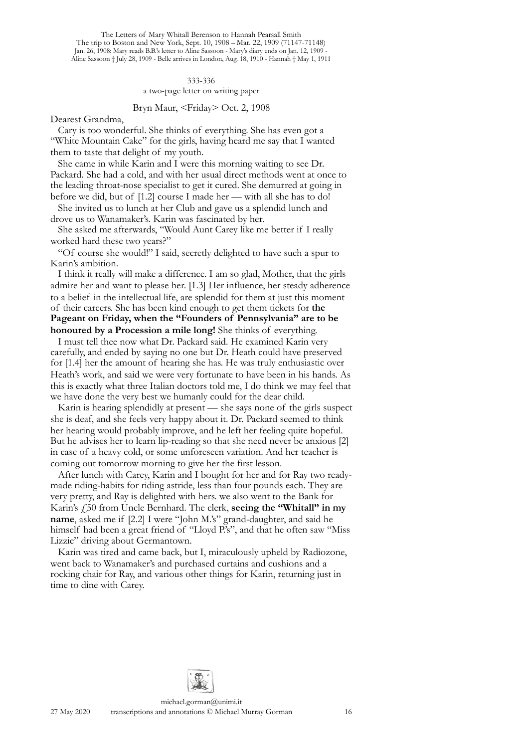#### 333-336 a two-page letter on writing paper

#### Bryn Maur, <Friday> Oct. 2, 1908

Dearest Grandma,

Cary is too wonderful. She thinks of everything. She has even got a "White Mountain Cake" for the girls, having heard me say that I wanted them to taste that delight of my youth.

She came in while Karin and I were this morning waiting to see Dr. Packard. She had a cold, and with her usual direct methods went at once to the leading throat-nose specialist to get it cured. She demurred at going in before we did, but of [1.2] course I made her — with all she has to do!

She invited us to lunch at her Club and gave us a splendid lunch and drove us to Wanamaker's. Karin was fascinated by her.

She asked me afterwards, "Would Aunt Carey like me better if I really worked hard these two years?"

"Of course she would!" I said, secretly delighted to have such a spur to Karin's ambition.

I think it really will make a difference. I am so glad, Mother, that the girls admire her and want to please her. [1.3] Her influence, her steady adherence to a belief in the intellectual life, are splendid for them at just this moment of their careers. She has been kind enough to get them tickets for **the Pageant on Friday, when the "Founders of Pennsylvania" are to be honoured by a Procession a mile long!** She thinks of everything.

I must tell thee now what Dr. Packard said. He examined Karin very carefully, and ended by saying no one but Dr. Heath could have preserved for [1.4] her the amount of hearing she has. He was truly enthusiastic over Heath's work, and said we were very fortunate to have been in his hands. As this is exactly what three Italian doctors told me, I do think we may feel that we have done the very best we humanly could for the dear child.

Karin is hearing splendidly at present — she says none of the girls suspect she is deaf, and she feels very happy about it. Dr. Packard seemed to think her hearing would probably improve, and he left her feeling quite hopeful. But he advises her to learn lip-reading so that she need never be anxious [2] in case of a heavy cold, or some unforeseen variation. And her teacher is coming out tomorrow morning to give her the first lesson.

After lunch with Carey, Karin and I bought for her and for Ray two readymade riding-habits for riding astride, less than four pounds each. They are very pretty, and Ray is delighted with hers. we also went to the Bank for Karin's £50 from Uncle Bernhard. The clerk, **seeing the "Whitall" in my name**, asked me if [2.2] I were "John M.'s" grand-daughter, and said he himself had been a great friend of "Lloyd P.'s", and that he often saw "Miss" Lizzie" driving about Germantown.

Karin was tired and came back, but I, miraculously upheld by Radiozone, went back to Wanamaker's and purchased curtains and cushions and a rocking chair for Ray, and various other things for Karin, returning just in time to dine with Carey.

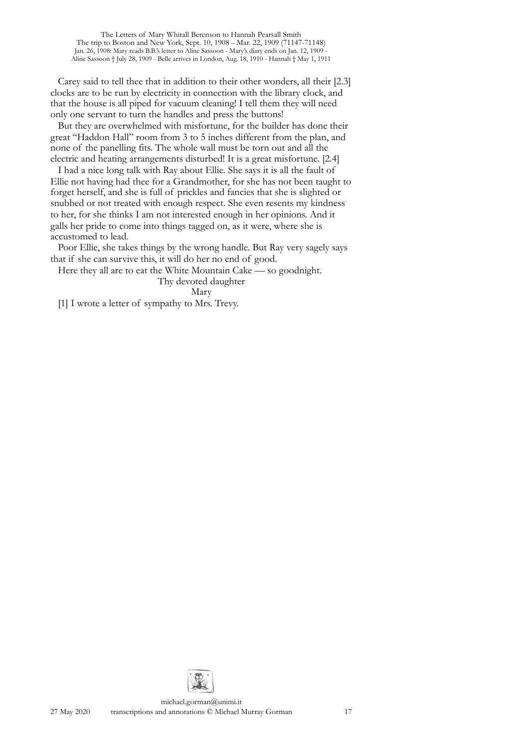Carey said to tell thee that in addition to their other wonders, all their [2.3] clocks are to be run by electricity in connection with the library clock, and that the house is all piped for vacuum cleaning! I tell them they will need only one servant to turn the handles and press the buttons!

But they are overwhelmed with misfortune, for the builder has done their great "Haddon Hall" room from 3 to 5 inches different from the plan, and none of the panelling fits. The whole wall must be torn out and all the electric and heating arrangements disturbed! It is a great misfortune. [2.4]

I had a nice long talk with Ray about Ellie. She says it is all the fault of Ellie not having had thee for a Grandmother, for she has not been taught to forget herself, and she is full of prickles and fancies that she is slighted or snubbed or not treated with enough respect. She even resents my kindness to her, for she thinks I am not interested enough in her opinions. And it galls her pride to come into things tagged on, as it were, where she is accustomed to lead.

Poor Ellie, she takes things by the wrong handle. But Ray very sagely says that if she can survive this, it will do her no end of good.

Here they all are to eat the White Mountain Cake — so goodnight.

Thy devoted daughter

Mary

[1] I wrote a letter of sympathy to Mrs. Trevy.

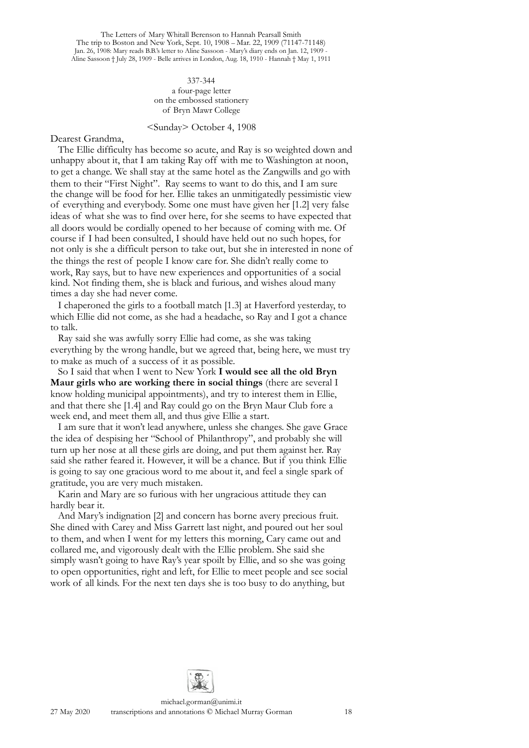> 337-344 a four-page letter on the embossed stationery of Bryn Mawr College

#### <Sunday> October 4, 1908

Dearest Grandma,

The Ellie difficulty has become so acute, and Ray is so weighted down and unhappy about it, that I am taking Ray off with me to Washington at noon, to get a change. We shall stay at the same hotel as the Zangwills and go with them to their "First Night". Ray seems to want to do this, and I am sure the change will be food for her. Ellie takes an unmitigatedly pessimistic view of everything and everybody. Some one must have given her [1.2] very false ideas of what she was to find over here, for she seems to have expected that all doors would be cordially opened to her because of coming with me. Of course if I had been consulted, I should have held out no such hopes, for not only is she a difficult person to take out, but she in interested in none of the things the rest of people I know care for. She didn't really come to work, Ray says, but to have new experiences and opportunities of a social kind. Not finding them, she is black and furious, and wishes aloud many times a day she had never come.

I chaperoned the girls to a football match [1.3] at Haverford yesterday, to which Ellie did not come, as she had a headache, so Ray and I got a chance to talk.

Ray said she was awfully sorry Ellie had come, as she was taking everything by the wrong handle, but we agreed that, being here, we must try to make as much of a success of it as possible.

So I said that when I went to New York **I would see all the old Bryn Maur girls who are working there in social things** (there are several I know holding municipal appointments), and try to interest them in Ellie, and that there she [1.4] and Ray could go on the Bryn Maur Club fore a week end, and meet them all, and thus give Ellie a start.

I am sure that it won't lead anywhere, unless she changes. She gave Grace the idea of despising her "School of Philanthropy", and probably she will turn up her nose at all these girls are doing, and put them against her. Ray said she rather feared it. However, it will be a chance. But if you think Ellie is going to say one gracious word to me about it, and feel a single spark of gratitude, you are very much mistaken.

Karin and Mary are so furious with her ungracious attitude they can hardly bear it.

And Mary's indignation [2] and concern has borne avery precious fruit. She dined with Carey and Miss Garrett last night, and poured out her soul to them, and when I went for my letters this morning, Cary came out and collared me, and vigorously dealt with the Ellie problem. She said she simply wasn't going to have Ray's year spoilt by Ellie, and so she was going to open opportunities, right and left, for Ellie to meet people and see social work of all kinds. For the next ten days she is too busy to do anything, but

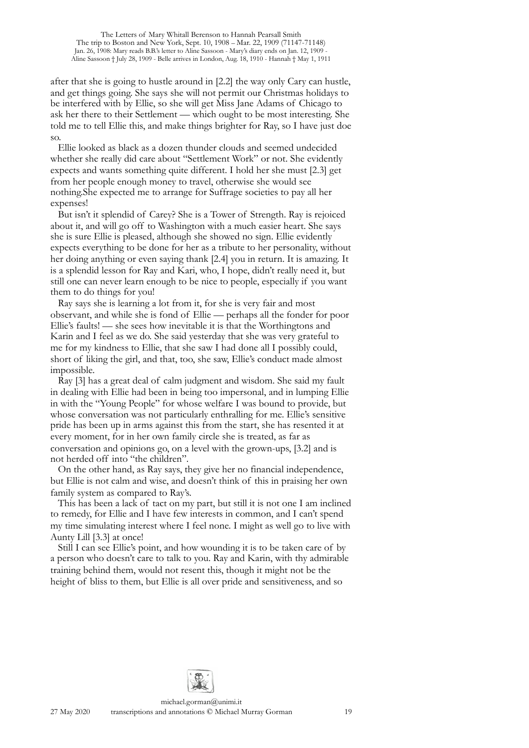after that she is going to hustle around in [2.2] the way only Cary can hustle, and get things going. She says she will not permit our Christmas holidays to be interfered with by Ellie, so she will get Miss Jane Adams of Chicago to ask her there to their Settlement — which ought to be most interesting. She told me to tell Ellie this, and make things brighter for Ray, so I have just doe so.

Ellie looked as black as a dozen thunder clouds and seemed undecided whether she really did care about "Settlement Work" or not. She evidently expects and wants something quite different. I hold her she must [2.3] get from her people enough money to travel, otherwise she would see nothing.She expected me to arrange for Suffrage societies to pay all her expenses!

But isn't it splendid of Carey? She is a Tower of Strength. Ray is rejoiced about it, and will go off to Washington with a much easier heart. She says she is sure Ellie is pleased, although she showed no sign. Ellie evidently expects everything to be done for her as a tribute to her personality, without her doing anything or even saying thank [2.4] you in return. It is amazing. It is a splendid lesson for Ray and Kari, who, I hope, didn't really need it, but still one can never learn enough to be nice to people, especially if you want them to do things for you!

Ray says she is learning a lot from it, for she is very fair and most observant, and while she is fond of Ellie — perhaps all the fonder for poor Ellie's faults! — she sees how inevitable it is that the Worthingtons and Karin and I feel as we do. She said yesterday that she was very grateful to me for my kindness to Ellie, that she saw I had done all I possibly could, short of liking the girl, and that, too, she saw, Ellie's conduct made almost impossible.

Ray [3] has a great deal of calm judgment and wisdom. She said my fault in dealing with Ellie had been in being too impersonal, and in lumping Ellie in with the "Young People" for whose welfare I was bound to provide, but whose conversation was not particularly enthralling for me. Ellie's sensitive pride has been up in arms against this from the start, she has resented it at every moment, for in her own family circle she is treated, as far as conversation and opinions go, on a level with the grown-ups, [3.2] and is not herded off into "the children".

On the other hand, as Ray says, they give her no financial independence, but Ellie is not calm and wise, and doesn't think of this in praising her own family system as compared to Ray's.

This has been a lack of tact on my part, but still it is not one I am inclined to remedy, for Ellie and I have few interests in common, and I can't spend my time simulating interest where I feel none. I might as well go to live with Aunty Lill [3.3] at once!

Still I can see Ellie's point, and how wounding it is to be taken care of by a person who doesn't care to talk to you. Ray and Karin, with thy admirable training behind them, would not resent this, though it might not be the height of bliss to them, but Ellie is all over pride and sensitiveness, and so

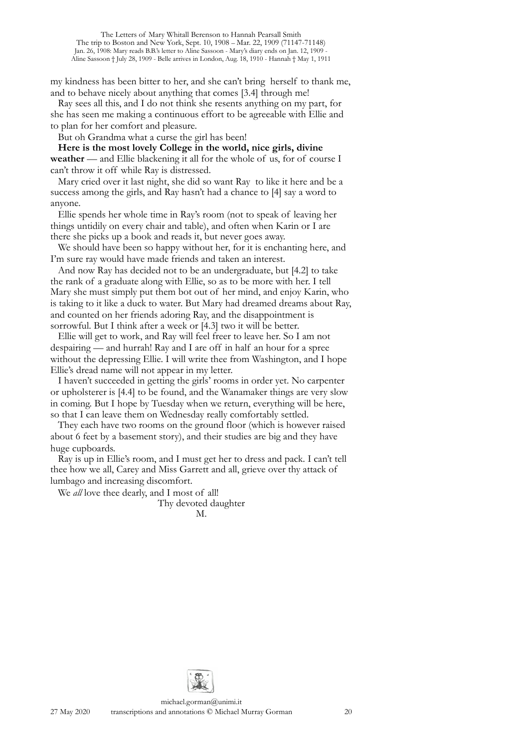my kindness has been bitter to her, and she can't bring herself to thank me, and to behave nicely about anything that comes [3.4] through me!

Ray sees all this, and I do not think she resents anything on my part, for she has seen me making a continuous effort to be agreeable with Ellie and to plan for her comfort and pleasure.

But oh Grandma what a curse the girl has been!

**Here is the most lovely College in the world, nice girls, divine weather** — and Ellie blackening it all for the whole of us, for of course I can't throw it off while Ray is distressed.

Mary cried over it last night, she did so want Ray to like it here and be a success among the girls, and Ray hasn't had a chance to [4] say a word to anyone.

Ellie spends her whole time in Ray's room (not to speak of leaving her things untidily on every chair and table), and often when Karin or I are there she picks up a book and reads it, but never goes away.

We should have been so happy without her, for it is enchanting here, and I'm sure ray would have made friends and taken an interest.

And now Ray has decided not to be an undergraduate, but [4.2] to take the rank of a graduate along with Ellie, so as to be more with her. I tell Mary she must simply put them bot out of her mind, and enjoy Karin, who is taking to it like a duck to water. But Mary had dreamed dreams about Ray, and counted on her friends adoring Ray, and the disappointment is sorrowful. But I think after a week or [4.3] two it will be better.

Ellie will get to work, and Ray will feel freer to leave her. So I am not despairing — and hurrah! Ray and I are off in half an hour for a spree without the depressing Ellie. I will write thee from Washington, and I hope Ellie's dread name will not appear in my letter.

I haven't succeeded in getting the girls' rooms in order yet. No carpenter or upholsterer is [4.4] to be found, and the Wanamaker things are very slow in coming. But I hope by Tuesday when we return, everything will be here, so that I can leave them on Wednesday really comfortably settled.

They each have two rooms on the ground floor (which is however raised about 6 feet by a basement story), and their studies are big and they have huge cupboards.

Ray is up in Ellie's room, and I must get her to dress and pack. I can't tell thee how we all, Carey and Miss Garrett and all, grieve over thy attack of lumbago and increasing discomfort.

We *all* love thee dearly, and I most of all!

Thy devoted daughter M.